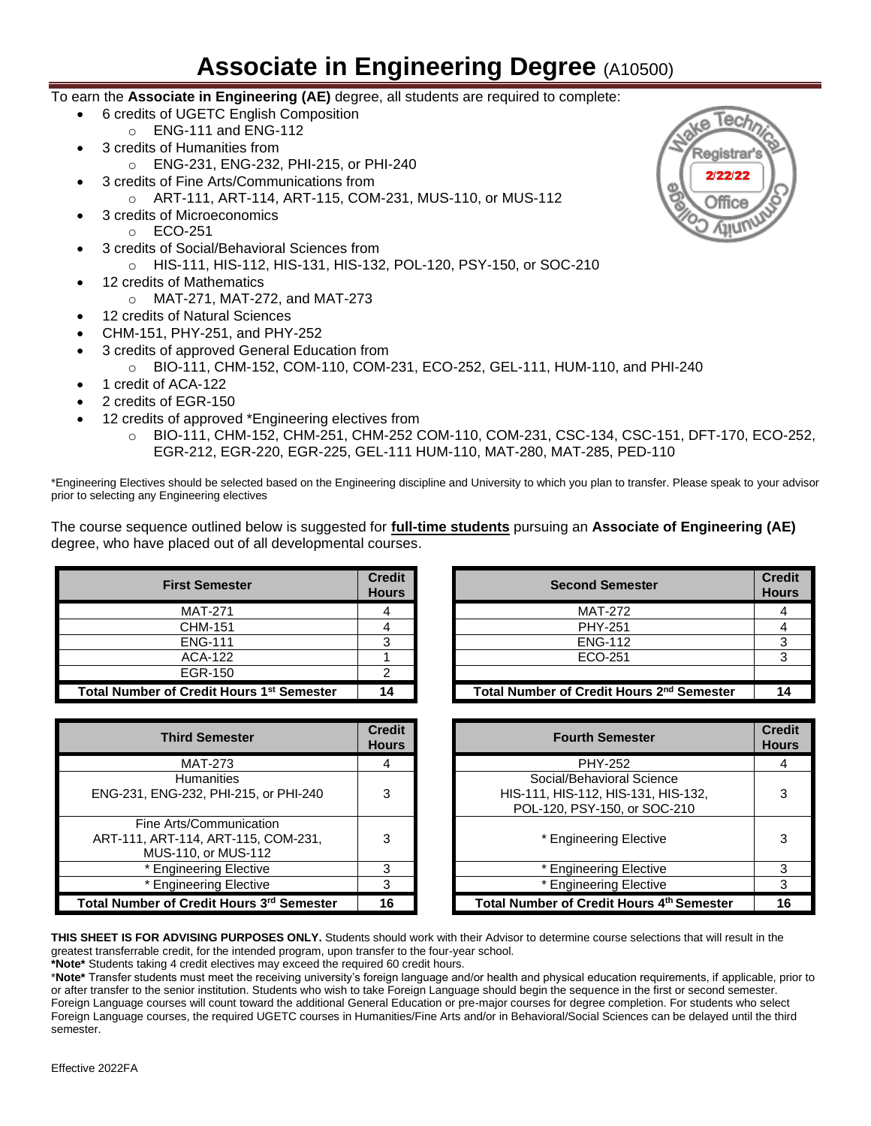## **Associate in Engineering Degree** (A10500)

- To earn the **Associate in Engineering (AE)** degree, all students are required to complete:
	- 6 credits of UGETC English Composition
	- o ENG-111 and ENG-112
	- 3 credits of Humanities from
		- o ENG-231, ENG-232, PHI-215, or PHI-240
	- 3 credits of Fine Arts/Communications from
		- o ART-111, ART-114, ART-115, COM-231, MUS-110, or MUS-112
	- 3 credits of Microeconomics
		- o ECO-251
	- 3 credits of Social/Behavioral Sciences from o HIS-111, HIS-112, HIS-131, HIS-132, POL-120, PSY-150, or SOC-210
	- 12 credits of Mathematics
		- o MAT-271, MAT-272, and MAT-273
	- 12 credits of Natural Sciences
	- CHM-151, PHY-251, and PHY-252
	- 3 credits of approved General Education from
		- o BIO-111, CHM-152, COM-110, COM-231, ECO-252, GEL-111, HUM-110, and PHI-240
	- 1 credit of ACA-122
	- 2 credits of EGR-150
	- 12 credits of approved \*Engineering electives from
		- o BIO-111, CHM-152, CHM-251, CHM-252 COM-110, COM-231, CSC-134, CSC-151, DFT-170, ECO-252, EGR-212, EGR-220, EGR-225, GEL-111 HUM-110, MAT-280, MAT-285, PED-110

\*Engineering Electives should be selected based on the Engineering discipline and University to which you plan to transfer. Please speak to your advisor prior to selecting any Engineering electives

The course sequence outlined below is suggested for **full-time students** pursuing an **Associate of Engineering (AE)**  degree, who have placed out of all developmental courses.

| <b>First Semester</b>                                 | <b>Credit</b><br><b>Hours</b> | <b>Second Semester</b>                |
|-------------------------------------------------------|-------------------------------|---------------------------------------|
| <b>MAT-271</b>                                        |                               | <b>MAT-272</b>                        |
| CHM-151                                               |                               | <b>PHY-251</b>                        |
| <b>ENG-111</b>                                        |                               | <b>ENG-112</b>                        |
| <b>ACA-122</b>                                        |                               | ECO-251                               |
| EGR-150                                               |                               |                                       |
| Total Number of Credit Hours 1 <sup>st</sup> Semester | 14                            | <b>Total Number of Credit Hours 2</b> |

| <b>Third Semester</b>                                                                 | <b>Credit</b><br><b>Hours</b> |
|---------------------------------------------------------------------------------------|-------------------------------|
| MAT-273                                                                               |                               |
| <b>Humanities</b><br>ENG-231, ENG-232, PHI-215, or PHI-240                            | З                             |
| Fine Arts/Communication<br>ART-111, ART-114, ART-115, COM-231,<br>MUS-110, or MUS-112 | З                             |
| * Engineering Elective                                                                | з                             |
| * Engineering Elective                                                                | 3                             |
| Total Number of Credit Hours 3rd Semester                                             | 16                            |

| st Semester               | <b>Credit</b><br><b>Hours</b> | <b>Second Semester</b>                                | <b>Credit</b><br><b>Hours</b> |
|---------------------------|-------------------------------|-------------------------------------------------------|-------------------------------|
| <b>MAT-271</b>            |                               | <b>MAT-272</b>                                        |                               |
| CHM-151                   |                               | <b>PHY-251</b>                                        |                               |
| <b>ENG-111</b>            |                               | <b>ENG-112</b>                                        |                               |
| ACA-122                   |                               | ECO-251                                               |                               |
| EGR-150                   |                               |                                                       |                               |
| Credit Hours 1st Semester | 14                            | Total Number of Credit Hours 2 <sup>nd</sup> Semester | 14                            |

| <b>Third Semester</b>                                                         | <b>Credit</b><br><b>Hours</b> | <b>Fourth Semester</b>                                                                           | <b>Credit</b><br><b>Hours</b> |
|-------------------------------------------------------------------------------|-------------------------------|--------------------------------------------------------------------------------------------------|-------------------------------|
| <b>MAT-273</b>                                                                | 4                             | <b>PHY-252</b>                                                                                   | 4                             |
| <b>Humanities</b><br>ENG-232, PHI-215, or PHI-240                             | 3                             | Social/Behavioral Science<br>HIS-111, HIS-112, HIS-131, HIS-132,<br>POL-120, PSY-150, or SOC-210 | 3                             |
| ine Arts/Communication<br>, ART-114, ART-115, COM-231,<br>MUS-110, or MUS-112 | 3                             | * Engineering Elective                                                                           | з                             |
| * Engineering Elective                                                        | 3                             | * Engineering Elective                                                                           | 3                             |
| * Engineering Elective                                                        | 3                             | * Engineering Elective                                                                           | 3                             |
| er of Credit Hours 3 <sup>rd</sup> Semester                                   | 16                            | Total Number of Credit Hours 4th Semester                                                        | 16                            |

**THIS SHEET IS FOR ADVISING PURPOSES ONLY.** Students should work with their Advisor to determine course selections that will result in the greatest transferrable credit, for the intended program, upon transfer to the four-year school.

**\*Note\*** Students taking 4 credit electives may exceed the required 60 credit hours.

\***Note\*** Transfer students must meet the receiving university's foreign language and/or health and physical education requirements, if applicable, prior to or after transfer to the senior institution. Students who wish to take Foreign Language should begin the sequence in the first or second semester. Foreign Language courses will count toward the additional General Education or pre-major courses for degree completion. For students who select Foreign Language courses, the required UGETC courses in Humanities/Fine Arts and/or in Behavioral/Social Sciences can be delayed until the third semester.